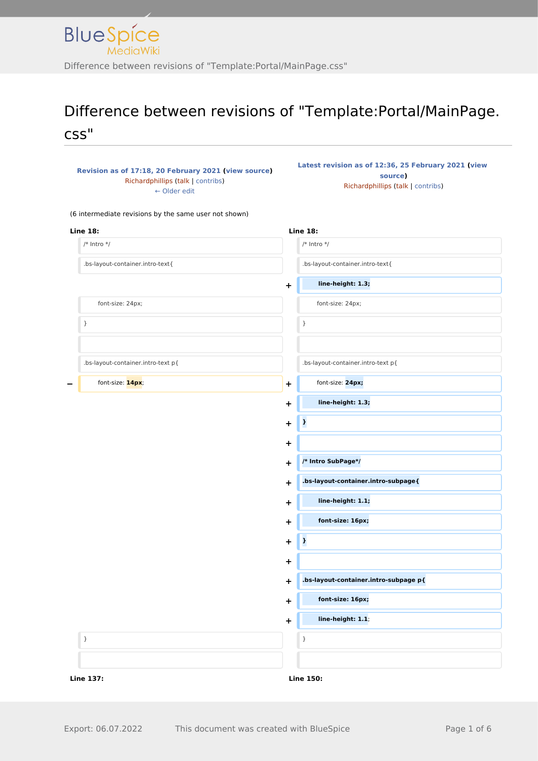### Difference between revisions of "Template:Portal/MainPage. css"

| Revision as of 17:18, 20 February 2021 (view source) |
|------------------------------------------------------|
| Richardphillips (talk   contribs)                    |
| $\leftarrow$ Older edit                              |

**[Latest revision as of 12:36, 25 February 2021](http://www.greenwichyachtclub.co.uk/w/index.php?title=Template:Portal/MainPage.css&oldid=349) ([view](http://www.greenwichyachtclub.co.uk/w/index.php?title=Template:Portal/MainPage.css&action=edit)  [source\)](http://www.greenwichyachtclub.co.uk/w/index.php?title=Template:Portal/MainPage.css&action=edit)** [Richardphillips](http://www.greenwichyachtclub.co.uk/w/index.php?title=User:Richardphillips&action=view) ([talk](http://www.greenwichyachtclub.co.uk/w/index.php?title=User_talk:Richardphillips&action=view) | [contribs](http://www.greenwichyachtclub.co.uk/wiki/Special:Contributions/Richardphillips))

(6 intermediate revisions by the same user not shown)

| <b>Line 18:</b>                    | <b>Line 18:</b>                            |
|------------------------------------|--------------------------------------------|
| $/*$ Intro $*/$                    | /* Intro $*/$                              |
| .bs-layout-container.intro-text{   | .bs-layout-container.intro-text{           |
|                                    | line-height: 1.3;<br>$\ddagger$            |
| font-size: 24px;                   | font-size: 24px;                           |
| $\}$                               | $\}$                                       |
| .bs-layout-container.intro-text p{ | .bs-layout-container.intro-text p{         |
| font-size: 14px;                   | font-size: 24px;<br>$\ddot{}$              |
|                                    | line-height: 1.3;<br>$\ddag$               |
|                                    | $\pmb{\cdot}$<br>+                         |
|                                    | +                                          |
|                                    | /* Intro SubPage*/<br>$\pm$                |
|                                    | .bs-layout-container.intro-subpage{<br>+   |
|                                    | line-height: 1.1;<br>+                     |
|                                    | font-size: 16px;<br>$\ddag$                |
|                                    | þ<br>$\ddot{}$                             |
|                                    | +                                          |
|                                    | .bs-layout-container.intro-subpage p{<br>+ |
|                                    | font-size: 16px;<br>+                      |
|                                    | line-height: 1.1;<br>$\ddagger$            |
| $\}$                               | $\}$                                       |
|                                    |                                            |
| <b>Line 137:</b>                   | <b>Line 150:</b>                           |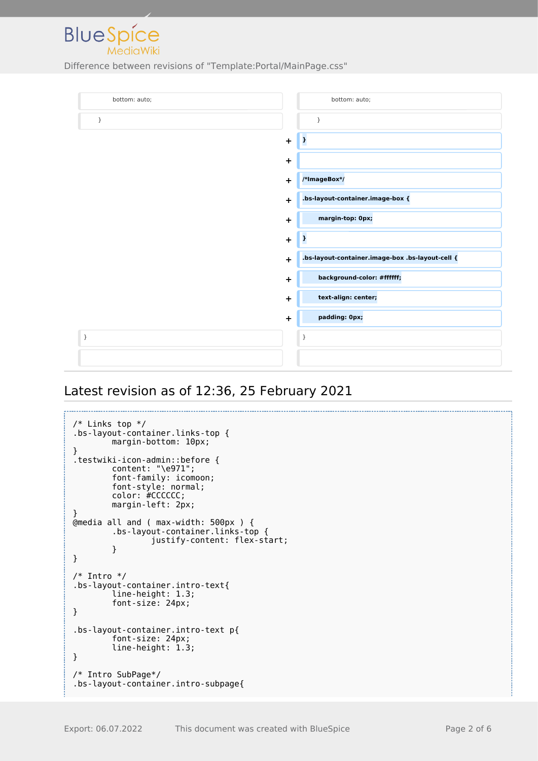

Difference between revisions of "Template:Portal/MainPage.css"

| bottom: auto; |             | bottom: auto;                                    |
|---------------|-------------|--------------------------------------------------|
| $\}$          |             | }                                                |
|               | $\ddot{}$   | þ                                                |
|               | $\ddot{}$   |                                                  |
|               | $\ddot{}$   | /*ImageBox*/                                     |
|               | $\ddot{}$   | .bs-layout-container.image-box {                 |
|               | $\mathbf +$ | margin-top: 0px;                                 |
|               | $\ddot{}$   | $\mathbf{r}$                                     |
|               | $\ddot{}$   | .bs-layout-container.image-box .bs-layout-cell { |
|               | +           | background-color: #ffffff;                       |
|               | $\ddot{}$   | text-align: center;                              |
|               | $\ddot{}$   | padding: 0px;                                    |
| $\}$          |             | }                                                |
|               |             |                                                  |

#### Latest revision as of 12:36, 25 February 2021

```
/* Links top */.bs-layout-container.links-top {
        margin-bottom: 10px;
}
.testwiki-icon-admin::before {
         content: "\e971";
         font-family: icomoon;
         font-style: normal;
         color: #CCCCCC;
         margin-left: 2px;
}
@media all and ( max-width: 500px ) {
 .bs-layout-container.links-top {
                 justify-content: flex-start;
         }
}
/* Intro */
.bs-layout-container.intro-text{
         line-height: 1.3;
         font-size: 24px;
}
.bs-layout-container.intro-text p{
 font-size: 24px;
 line-height: 1.3;
}
/* Intro SubPage*/
.bs-layout-container.intro-subpage{
```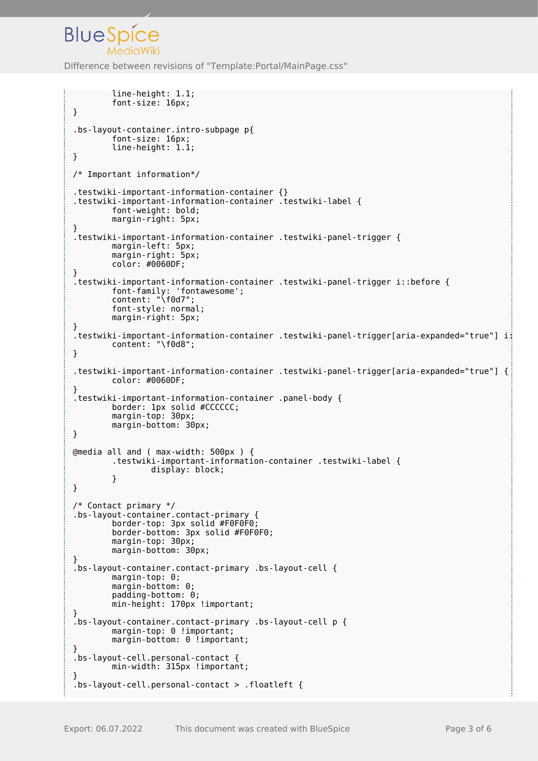### **BlueSpice** Difference between revisions of "Template:Portal/MainPage.css"

```
 line-height: 1.1;
         font-size: 16px;
}
.bs-layout-container.intro-subpage p{
         font-size: 16px;
         line-height: 1.1;
}
/* Important information*/
.testwiki-important-information-container {}
.testwiki-important-information-container .testwiki-label {
         font-weight: bold;
         margin-right: 5px;
}
.testwiki-important-information-container .testwiki-panel-trigger {
         margin-left: 5px;
         margin-right: 5px;
         color: #0060DF;
}
.testwiki-important-information-container .testwiki-panel-trigger i::before {
         font-family: 'fontawesome';
         content: "\f0d7";
         font-style: normal;
         margin-right: 5px;
}
.testwiki-important-information-container .testwiki-panel-trigger[aria-expanded="true"] i:
         content: "\f0d8";
}
.testwiki-important-information-container .testwiki-panel-trigger[aria-expanded="true"] {
         color: #0060DF;
}
.testwiki-important-information-container .panel-body {
         border: 1px solid #CCCCCC;
         margin-top: 30px;
         margin-bottom: 30px;
}
@media all and ( max-width: 500px ) {
         .testwiki-important-information-container .testwiki-label {
                 display: block;
 }
}
/* Contact primary */
.bs-layout-container.contact-primary {
 border-top: 3px solid #F0F0F0;
 border-bottom: 3px solid #F0F0F0;
        margin-top: 30px;
         margin-bottom: 30px;
}
.bs-layout-container.contact-primary .bs-layout-cell {
         margin-top: 0;
         margin-bottom: 0;
         padding-bottom: 0;
         min-height: 170px !important;
}
.bs-layout-container.contact-primary .bs-layout-cell p {
        margin-top: 0 !important;
        margin-bottom: 0 !important;
}
.bs-layout-cell.personal-contact {
        min-width: 315px !important;
}
.bs-layout-cell.personal-contact > .floatleft {
```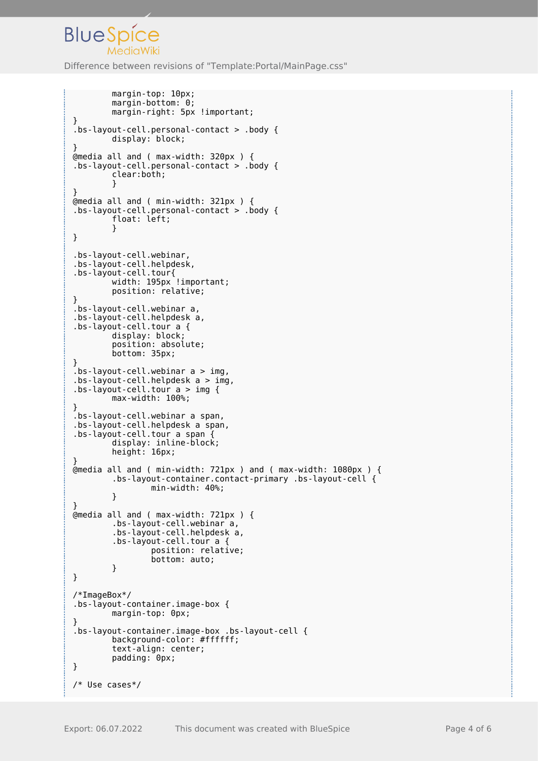# **BlueSpice**

Difference between revisions of "Template:Portal/MainPage.css"

```
 margin-top: 10px;
         margin-bottom: 0;
        margin-right: 5px !important;
}
.bs-layout-cell.personal-contact > .body {
         display: block;
}
@media all and ( max-width: 320px ) {
.bs-layout-cell.personal-contact > .body {
         clear:both;
 }
}
@media all and ( min-width: 321px ) {
.bs-layout-cell.personal-contact > .body {
         float: left;
         }
}
.bs-layout-cell.webinar,
.bs-layout-cell.helpdesk,
.bs-layout-cell.tour{
 width: 195px !important;
         position: relative;
}
.bs-layout-cell.webinar a,
.bs-layout-cell.helpdesk a,
.bs-layout-cell.tour a {
         display: block;
         position: absolute;
         bottom: 35px;
}
bs-layout-cell.webinar a > img,
.bs-layout-cell.helpdesk a > img,
.bs-layout-cell.tour a > img {
         max-width: 100%;
}
.bs-layout-cell.webinar a span,
.bs-layout-cell.helpdesk a span,
.bs-layout-cell.tour a span {
         display: inline-block;
         height: 16px;
}
@media all and ( min-width: 721px ) and ( max-width: 1080px ) {
         .bs-layout-container.contact-primary .bs-layout-cell {
                 min-width: 40%;
         }
}
@media all and ( max-width: 721px ) {
         .bs-layout-cell.webinar a,
         .bs-layout-cell.helpdesk a,
         .bs-layout-cell.tour a {
                 position: relative;
                 bottom: auto;
         }
}
/*ImageBox*/
.bs-layout-container.image-box {
         margin-top: 0px;
}
.bs-layout-container.image-box .bs-layout-cell {
         background-color: #ffffff;
         text-align: center;
         padding: 0px;
}
/* Use cases*/
```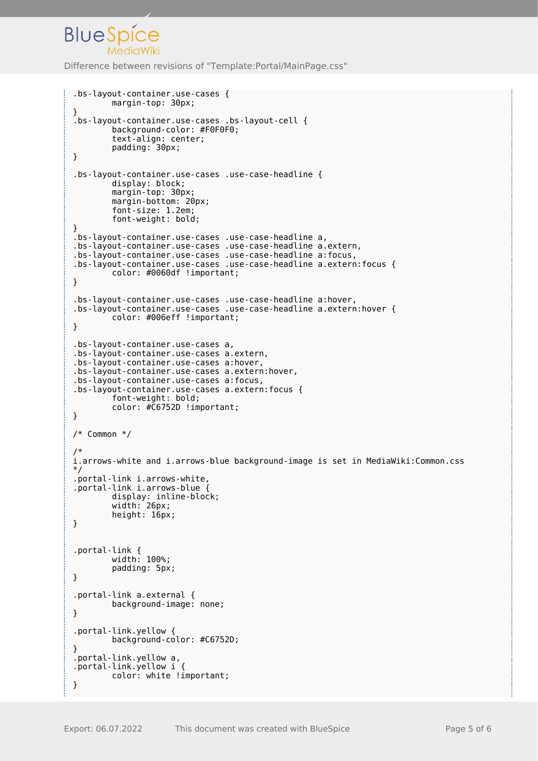## **BlueSpice**

Difference between revisions of "Template:Portal/MainPage.css"

```
.bs-layout-container.use-cases {
         margin-top: 30px;
}
.bs-layout-container.use-cases .bs-layout-cell {
         background-color: #F0F0F0;
         text-align: center;
         padding: 30px;
}
.bs-layout-container.use-cases .use-case-headline {
         display: block;
         margin-top: 30px;
         margin-bottom: 20px;
         font-size: 1.2em;
         font-weight: bold;
}
.bs-layout-container.use-cases .use-case-headline a,
.bs-layout-container.use-cases .use-case-headline a.extern,
.bs-layout-container.use-cases .use-case-headline a:focus,
.bs-layout-container.use-cases .use-case-headline a.extern:focus {
 color: #0060df !important;
}
.bs-layout-container.use-cases .use-case-headline a:hover,
.bs-layout-container.use-cases .use-case-headline a.extern:hover {
         color: #006eff !important;
}
.bs-layout-container.use-cases a,
.bs-layout-container.use-cases a.extern,
.bs-layout-container.use-cases a:hover,
.bs-layout-container.use-cases a.extern:hover,
.bs-layout-container.use-cases a:focus,
.bs-layout-container.use-cases a.extern:focus {
         font-weight: bold;
         color: #C6752D !important;
}
/* Common */
/*
i.arrows-white and i.arrows-blue background-image is set in MediaWiki:Common.css
*/
.portal-link i.arrows-white,
.portal-link i.arrows-blue {
 display: inline-block;
 width: 26px;
         height: 16px;
}
.portal-link {
         width: 100%;
         padding: 5px;
}
.portal-link a.external {
         background-image: none;
}
.portal-link.yellow {
         background-color: #C6752D;
}
.portal-link.yellow a,
.portal-link.yellow i {
         color: white !important;
}
```